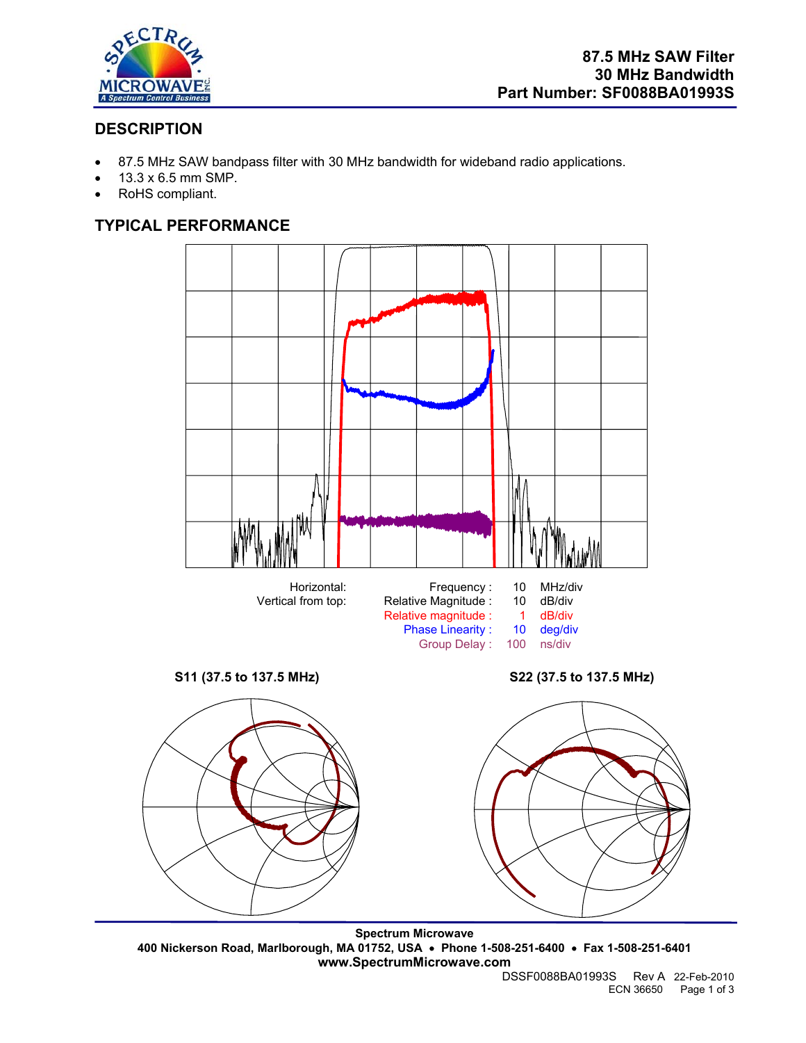

# **DESCRIPTION**

- 87.5 MHz SAW bandpass filter with 30 MHz bandwidth for wideband radio applications.
- 13.3 x 6.5 mm SMP.
- RoHS compliant.

# **TYPICAL PERFORMANCE**



**Spectrum Microwave 400 Nickerson Road, Marlborough, MA 01752, USA** • **Phone 1-508-251-6400** • **Fax 1-508-251-6401 www.SpectrumMicrowave.com** 

DSSF0088BA01993S Rev A 22-Feb-2010 ECN 36650 Page 1 of 3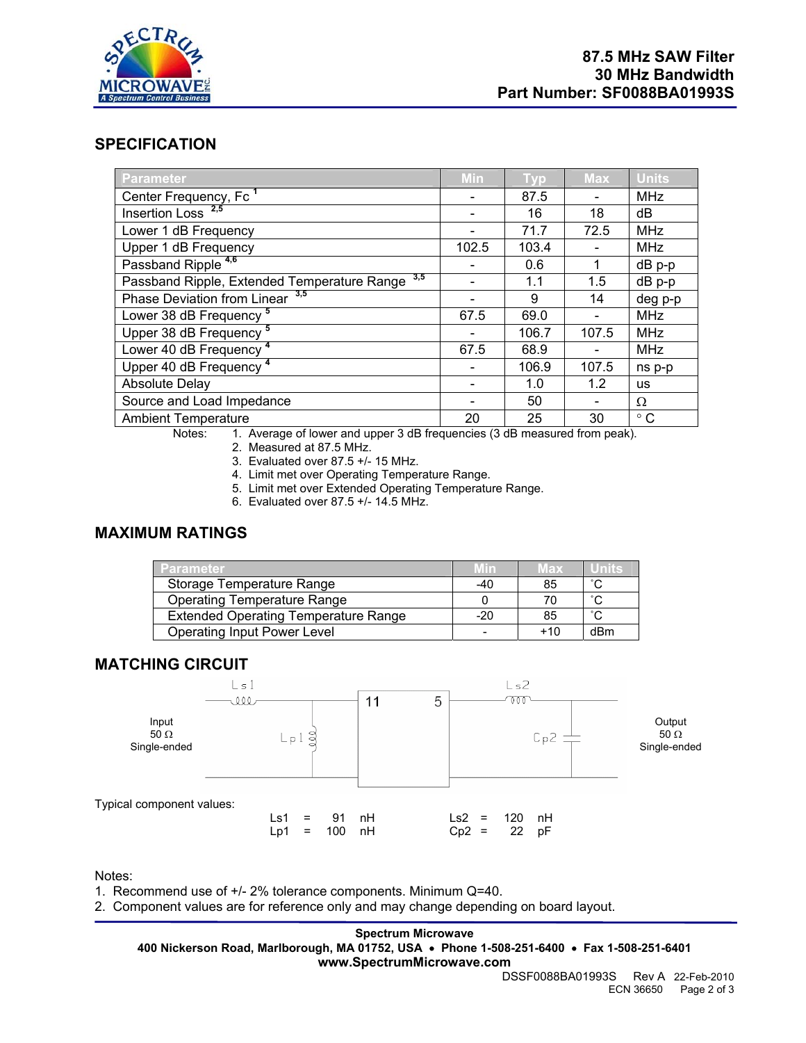

## **SPECIFICATION**

| <b>Parameter</b>                                | Min   | Typ   | <b>Max</b> | <b>Units</b> |
|-------------------------------------------------|-------|-------|------------|--------------|
| Center Frequency, Fc <sup>1</sup>               |       | 87.5  |            | <b>MHz</b>   |
| Insertion Loss $2,5$                            |       | 16    | 18         | dB           |
| Lower 1 dB Frequency                            |       | 71.7  | 72.5       | <b>MHz</b>   |
| Upper 1 dB Frequency                            | 102.5 | 103.4 |            | <b>MHz</b>   |
| Passband Ripple <sup>4,6</sup>                  |       | 0.6   |            | dB p-p       |
| Passband Ripple, Extended Temperature Range 3,5 |       | 1.1   | 1.5        | $dB$ p-p     |
| Phase Deviation from Linear 3,5                 |       | 9     | 14         | deg p-p      |
| Lower 38 dB Frequency <sup>5</sup>              | 67.5  | 69.0  |            | <b>MHz</b>   |
| Upper 38 dB Frequency <sup>5</sup>              |       | 106.7 | 107.5      | <b>MHz</b>   |
| Lower 40 dB Frequency 4                         | 67.5  | 68.9  |            | <b>MHz</b>   |
| Upper 40 dB Frequency <sup>4</sup>              |       | 106.9 | 107.5      | ns p-p       |
| <b>Absolute Delay</b>                           |       | 1.0   | 1.2        | <b>us</b>    |
| Source and Load Impedance                       |       | 50    |            | Ω            |
| <b>Ambient Temperature</b>                      | 20    | 25    | 30         | $^{\circ}$ C |

Notes: 1. Average of lower and upper 3 dB frequencies (3 dB measured from peak).

2. Measured at 87.5 MHz.

3. Evaluated over 87.5 +/- 15 MHz.

4. Limit met over Operating Temperature Range.

5. Limit met over Extended Operating Temperature Range.

6. Evaluated over 87.5 +/- 14.5 MHz.

## **MAXIMUM RATINGS**

| <b>Parameter</b>                            |       | Max   |                     |
|---------------------------------------------|-------|-------|---------------------|
| Storage Temperature Range                   | -40   | 85    | $\hat{\phantom{a}}$ |
| <b>Operating Temperature Range</b>          |       |       | $\hat{\phantom{a}}$ |
| <b>Extended Operating Temperature Range</b> | $-20$ | 85    | $\sim$              |
| <b>Operating Input Power Level</b>          |       | $+10$ | dBm                 |

### **MATCHING CIRCUIT**



Notes:

1. Recommend use of +/- 2% tolerance components. Minimum Q=40.

2. Component values are for reference only and may change depending on board layout.

**Spectrum Microwave** 

**400 Nickerson Road, Marlborough, MA 01752, USA** • **Phone 1-508-251-6400** • **Fax 1-508-251-6401 www.SpectrumMicrowave.com**